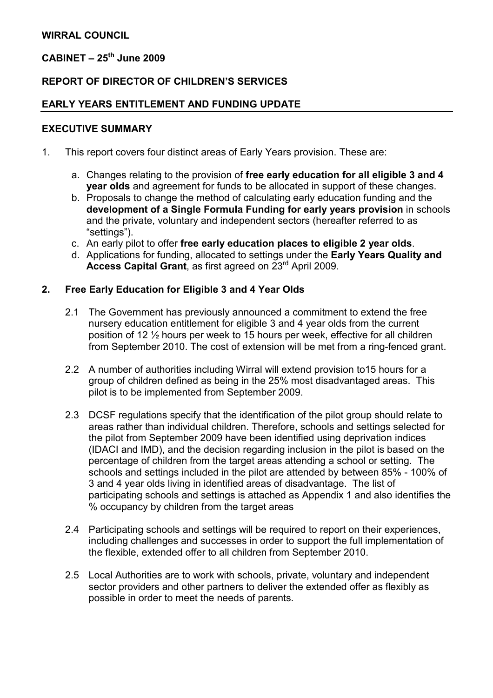# $CABINET - 25<sup>th</sup> June 2009$

## REPORT OF DIRECTOR OF CHILDREN'S SERVICES

### EARLY YEARS ENTITLEMENT AND FUNDING UPDATE

#### EXECUTIVE SUMMARY

- 1. This report covers four distinct areas of Early Years provision. These are:
	- a. Changes relating to the provision of free early education for all eligible 3 and 4 year olds and agreement for funds to be allocated in support of these changes.
	- b. Proposals to change the method of calculating early education funding and the development of a Single Formula Funding for early years provision in schools and the private, voluntary and independent sectors (hereafter referred to as "settings").
	- c. An early pilot to offer free early education places to eligible 2 year olds.
	- d. Applications for funding, allocated to settings under the Early Years Quality and Access Capital Grant, as first agreed on 23<sup>rd</sup> April 2009.

#### 2. Free Early Education for Eligible 3 and 4 Year Olds

- 2.1 The Government has previously announced a commitment to extend the free nursery education entitlement for eligible 3 and 4 year olds from the current position of 12 ½ hours per week to 15 hours per week, effective for all children from September 2010. The cost of extension will be met from a ring-fenced grant.
- 2.2 A number of authorities including Wirral will extend provision to15 hours for a group of children defined as being in the 25% most disadvantaged areas. This pilot is to be implemented from September 2009.
- 2.3 DCSF regulations specify that the identification of the pilot group should relate to areas rather than individual children. Therefore, schools and settings selected for the pilot from September 2009 have been identified using deprivation indices (IDACI and IMD), and the decision regarding inclusion in the pilot is based on the percentage of children from the target areas attending a school or setting. The schools and settings included in the pilot are attended by between 85% - 100% of 3 and 4 year olds living in identified areas of disadvantage. The list of participating schools and settings is attached as Appendix 1 and also identifies the % occupancy by children from the target areas
- 2.4 Participating schools and settings will be required to report on their experiences, including challenges and successes in order to support the full implementation of the flexible, extended offer to all children from September 2010.
- 2.5 Local Authorities are to work with schools, private, voluntary and independent sector providers and other partners to deliver the extended offer as flexibly as possible in order to meet the needs of parents.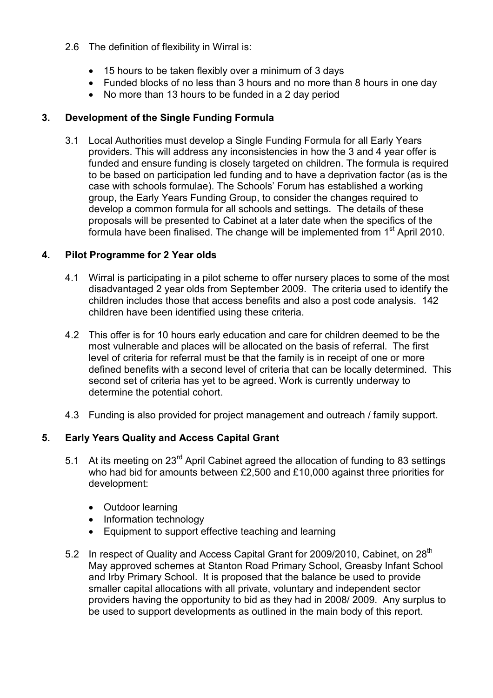- 2.6 The definition of flexibility in Wirral is:
	- 15 hours to be taken flexibly over a minimum of 3 days
	- Funded blocks of no less than 3 hours and no more than 8 hours in one day
	- No more than 13 hours to be funded in a 2 day period

# 3. Development of the Single Funding Formula

3.1 Local Authorities must develop a Single Funding Formula for all Early Years providers. This will address any inconsistencies in how the 3 and 4 year offer is funded and ensure funding is closely targeted on children. The formula is required to be based on participation led funding and to have a deprivation factor (as is the case with schools formulae). The Schools' Forum has established a working group, the Early Years Funding Group, to consider the changes required to develop a common formula for all schools and settings. The details of these proposals will be presented to Cabinet at a later date when the specifics of the formula have been finalised. The change will be implemented from 1<sup>st</sup> April 2010.

# 4. Pilot Programme for 2 Year olds

- 4.1 Wirral is participating in a pilot scheme to offer nursery places to some of the most disadvantaged 2 year olds from September 2009. The criteria used to identify the children includes those that access benefits and also a post code analysis. 142 children have been identified using these criteria.
- 4.2 This offer is for 10 hours early education and care for children deemed to be the most vulnerable and places will be allocated on the basis of referral. The first level of criteria for referral must be that the family is in receipt of one or more defined benefits with a second level of criteria that can be locally determined. This second set of criteria has yet to be agreed. Work is currently underway to determine the potential cohort.
- 4.3 Funding is also provided for project management and outreach / family support.

# 5. Early Years Quality and Access Capital Grant

- 5.1 At its meeting on 23<sup>rd</sup> April Cabinet agreed the allocation of funding to 83 settings who had bid for amounts between £2,500 and £10,000 against three priorities for development:
	- Outdoor learning
	- Information technology
	- Equipment to support effective teaching and learning
- 5.2 In respect of Quality and Access Capital Grant for 2009/2010, Cabinet, on 28<sup>th</sup> May approved schemes at Stanton Road Primary School, Greasby Infant School and Irby Primary School. It is proposed that the balance be used to provide smaller capital allocations with all private, voluntary and independent sector providers having the opportunity to bid as they had in 2008/ 2009. Any surplus to be used to support developments as outlined in the main body of this report.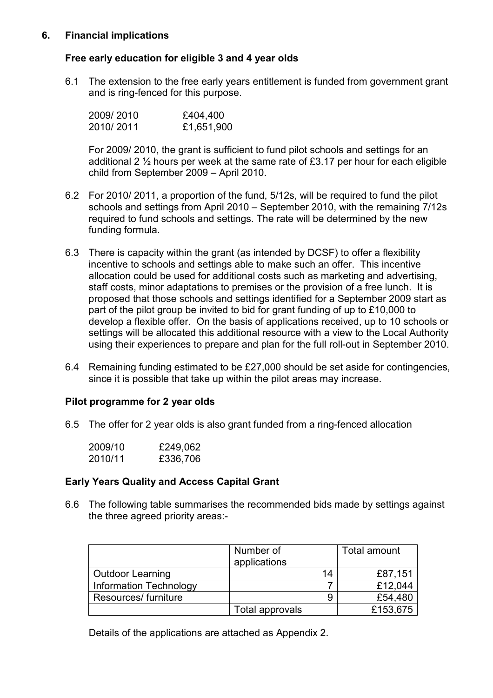## 6. Financial implications

## Free early education for eligible 3 and 4 year olds

6.1 The extension to the free early years entitlement is funded from government grant and is ring-fenced for this purpose.

| 2009/2010 | £404,400   |
|-----------|------------|
| 2010/2011 | £1,651,900 |

For 2009/ 2010, the grant is sufficient to fund pilot schools and settings for an additional 2  $\frac{1}{2}$  hours per week at the same rate of £3.17 per hour for each eligible child from September 2009 – April 2010.

- 6.2 For 2010/ 2011, a proportion of the fund, 5/12s, will be required to fund the pilot schools and settings from April 2010 – September 2010, with the remaining 7/12s required to fund schools and settings. The rate will be determined by the new funding formula.
- 6.3 There is capacity within the grant (as intended by DCSF) to offer a flexibility incentive to schools and settings able to make such an offer. This incentive allocation could be used for additional costs such as marketing and advertising, staff costs, minor adaptations to premises or the provision of a free lunch. It is proposed that those schools and settings identified for a September 2009 start as part of the pilot group be invited to bid for grant funding of up to £10,000 to develop a flexible offer. On the basis of applications received, up to 10 schools or settings will be allocated this additional resource with a view to the Local Authority using their experiences to prepare and plan for the full roll-out in September 2010.
- 6.4 Remaining funding estimated to be £27,000 should be set aside for contingencies, since it is possible that take up within the pilot areas may increase.

## Pilot programme for 2 year olds

6.5 The offer for 2 year olds is also grant funded from a ring-fenced allocation

| 2009/10 | £249,062 |
|---------|----------|
| 2010/11 | £336,706 |

### Early Years Quality and Access Capital Grant

6.6 The following table summarises the recommended bids made by settings against the three agreed priority areas:-

|                         | Number of<br>applications | Total amount |
|-------------------------|---------------------------|--------------|
| <b>Outdoor Learning</b> | 14                        | £87,151      |
| Information Technology  |                           | £12,044      |
| Resources/ furniture    | 9                         | £54,480      |
|                         | Total approvals           | £153,675     |

Details of the applications are attached as Appendix 2.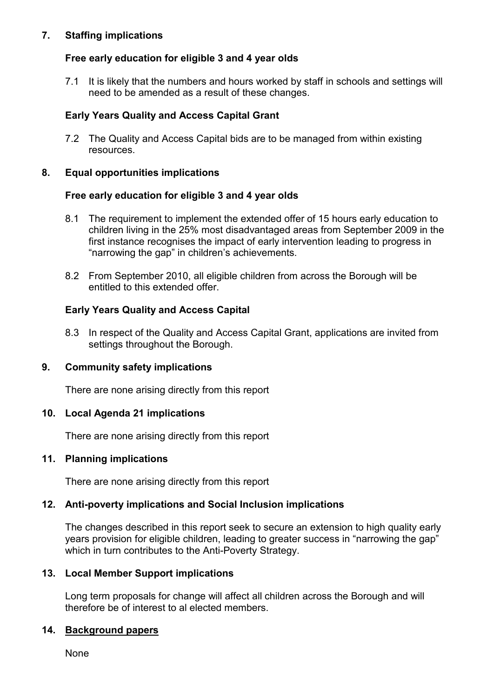## 7. Staffing implications

## Free early education for eligible 3 and 4 year olds

7.1 It is likely that the numbers and hours worked by staff in schools and settings will need to be amended as a result of these changes.

## Early Years Quality and Access Capital Grant

7.2 The Quality and Access Capital bids are to be managed from within existing resources.

### 8. Equal opportunities implications

### Free early education for eligible 3 and 4 year olds

- 8.1 The requirement to implement the extended offer of 15 hours early education to children living in the 25% most disadvantaged areas from September 2009 in the first instance recognises the impact of early intervention leading to progress in "narrowing the gap" in children's achievements.
- 8.2 From September 2010, all eligible children from across the Borough will be entitled to this extended offer.

## Early Years Quality and Access Capital

8.3 In respect of the Quality and Access Capital Grant, applications are invited from settings throughout the Borough.

## 9. Community safety implications

There are none arising directly from this report

### 10. Local Agenda 21 implications

There are none arising directly from this report

### 11. Planning implications

There are none arising directly from this report

## 12. Anti-poverty implications and Social Inclusion implications

The changes described in this report seek to secure an extension to high quality early years provision for eligible children, leading to greater success in "narrowing the gap" which in turn contributes to the Anti-Poverty Strategy.

### 13. Local Member Support implications

Long term proposals for change will affect all children across the Borough and will therefore be of interest to al elected members.

### 14. Background papers

None